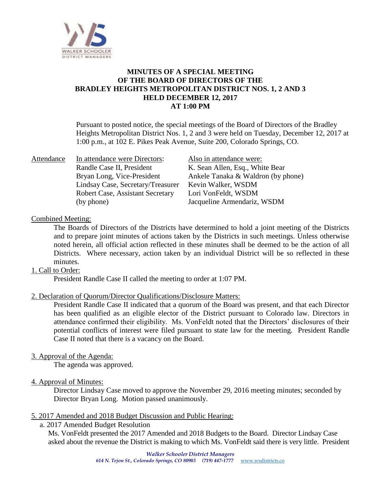

# **MINUTES OF A SPECIAL MEETING OF THE BOARD OF DIRECTORS OF THE BRADLEY HEIGHTS METROPOLITAN DISTRICT NOS. 1, 2 AND 3 HELD DECEMBER 12, 2017 AT 1:00 PM**

Pursuant to posted notice, the special meetings of the Board of Directors of the Bradley Heights Metropolitan District Nos. 1, 2 and 3 were held on Tuesday, December 12, 2017 at 1:00 p.m., at 102 E. Pikes Peak Avenue, Suite 200, Colorado Springs, CO.

| Attendance | In attendance were Directors:           | Also in attendance were:           |
|------------|-----------------------------------------|------------------------------------|
|            | Randle Case II, President               | K. Sean Allen, Esq., White Bear    |
|            | Bryan Long, Vice-President              | Ankele Tanaka & Waldron (by phone) |
|            | Lindsay Case, Secretary/Treasurer       | Kevin Walker, WSDM                 |
|            | <b>Robert Case, Assistant Secretary</b> | Lori VonFeldt, WSDM                |
|            | (by phone)                              | Jacqueline Armendariz, WSDM        |

## Combined Meeting:

The Boards of Directors of the Districts have determined to hold a joint meeting of the Districts and to prepare joint minutes of actions taken by the Districts in such meetings. Unless otherwise noted herein, all official action reflected in these minutes shall be deemed to be the action of all Districts. Where necessary, action taken by an individual District will be so reflected in these minutes.

## 1. Call to Order:

President Randle Case II called the meeting to order at 1:07 PM.

## 2. Declaration of Quorum/Director Qualifications/Disclosure Matters:

President Randle Case II indicated that a quorum of the Board was present, and that each Director has been qualified as an eligible elector of the District pursuant to Colorado law. Directors in attendance confirmed their eligibility. Ms. VonFeldt noted that the Directors' disclosures of their potential conflicts of interest were filed pursuant to state law for the meeting. President Randle Case II noted that there is a vacancy on the Board.

#### 3. Approval of the Agenda:

The agenda was approved.

# 4. Approval of Minutes:

Director Lindsay Case moved to approve the November 29, 2016 meeting minutes; seconded by Director Bryan Long. Motion passed unanimously.

#### 5. 2017 Amended and 2018 Budget Discussion and Public Hearing:

#### a. 2017 Amended Budget Resolution

Ms. VonFeldt presented the 2017 Amended and 2018 Budgets to the Board. Director Lindsay Case asked about the revenue the District is making to which Ms. VonFeldt said there is very little. President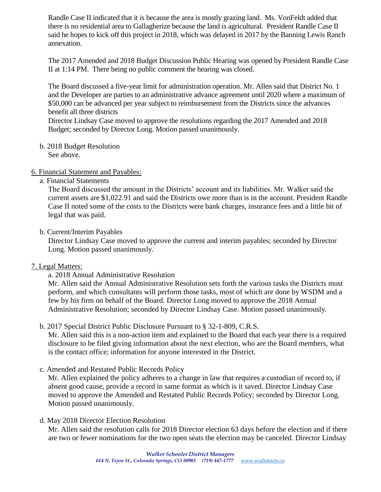Randle Case II indicated that it is because the area is mostly grazing land. Ms. VonFeldt added that there is no residential area to Gallagherize because the land is agricultural. President Randle Case II said he hopes to kick off this project in 2018, which was delayed in 2017 by the Banning Lewis Ranch annexation.

The 2017 Amended and 2018 Budget Discussion Public Hearing was opened by President Randle Case II at 1:14 PM. There being no public comment the hearing was closed.

The Board discussed a five-year limit for administration operation. Mr. Allen said that District No. 1 and the Developer are parties to an administrative advance agreement until 2020 where a maximum of \$50,000 can be advanced per year subject to reimbursement from the Districts since the advances benefit all three districts

Director Lindsay Case moved to approve the resolutions regarding the 2017 Amended and 2018 Budget; seconded by Director Long. Motion passed unanimously.

b. 2018 Budget Resolution See above.

6. Financial Statement and Payables:

a. Financial Statements

The Board discussed the amount in the Districts' account and its liabilities. Mr. Walker said the current assets are \$1,022.91 and said the Districts owe more than is in the account. President Randle Case II noted some of the costs to the Districts were bank charges, insurance fees and a little bit of legal that was paid.

b. Current/Interim Payables

Director Lindsay Case moved to approve the current and interim payables; seconded by Director Long. Motion passed unanimously.

# 7. Legal Matters:

a. 2018 Annual Administrative Resolution

Mr. Allen said the Annual Administrative Resolution sets forth the various tasks the Districts must perform, and which consultants will perform those tasks, most of which are done by WSDM and a few by his firm on behalf of the Board. Director Long moved to approve the 2018 Annual Administrative Resolution; seconded by Director Lindsay Case. Motion passed unanimously.

b. 2017 Special District Public Disclosure Pursuant to § 32-1-809, C.R.S.

Mr. Allen said this is a non-action item and explained to the Board that each year there is a required disclosure to be filed giving information about the next election, who are the Board members, what is the contact office; information for anyone interested in the District.

c. Amended and Restated Public Records Policy

Mr. Allen explained the policy adheres to a change in law that requires a custodian of record to, if absent good cause, provide a record in same format as which is it saved. Director Lindsay Case moved to approve the Amended and Restated Public Records Policy; seconded by Director Long. Motion passed unanimously.

d. May 2018 Director Election Resolution

Mr. Allen said the resolution calls for 2018 Director election 63 days before the election and if there are two or fewer nominations for the two open seats the election may be canceled. Director Lindsay